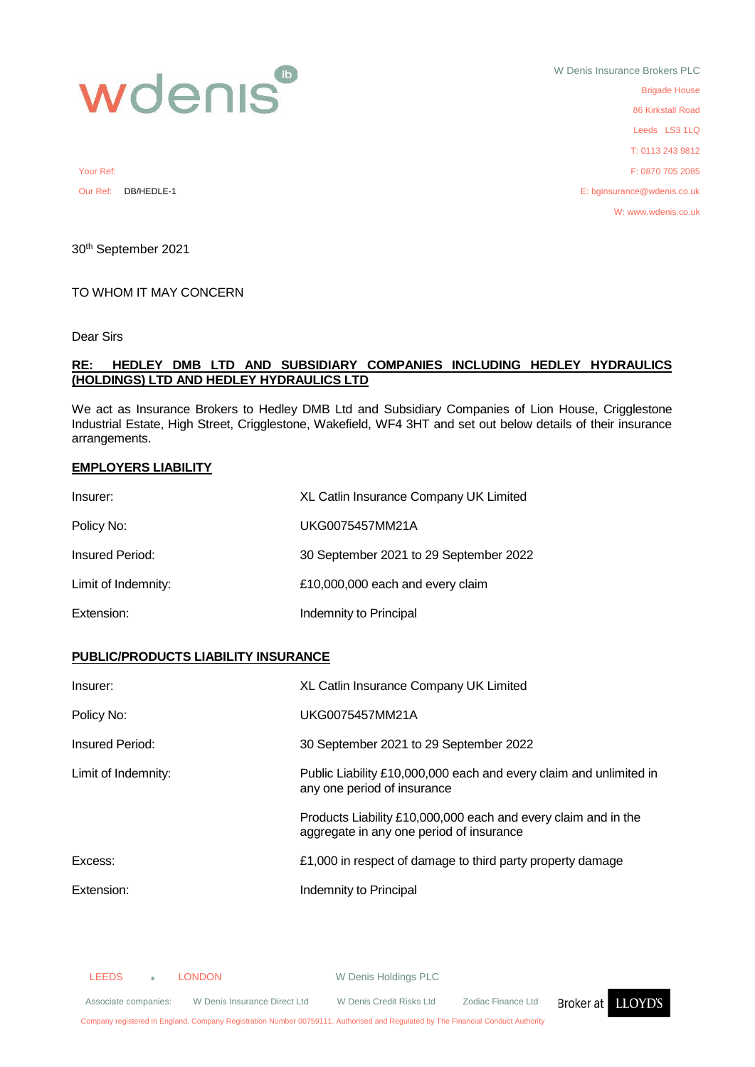

W Denis Insurance Brokers PLC Brigade House 86 Kirkstall Road Leeds LS3 1LQ T: 0113 243 9812 Your Ref: F: 0870 705 2085 Our Ref: DB/HEDLE-1 E: bginsurance@wdenis.co.uk W: www.wdenis.co.uk

30th September 2021

### TO WHOM IT MAY CONCERN

Dear Sirs

### **RE: HEDLEY DMB LTD AND SUBSIDIARY COMPANIES INCLUDING HEDLEY HYDRAULICS (HOLDINGS) LTD AND HEDLEY HYDRAULICS LTD**

We act as Insurance Brokers to Hedley DMB Ltd and Subsidiary Companies of Lion House, Crigglestone Industrial Estate, High Street, Crigglestone, Wakefield, WF4 3HT and set out below details of their insurance arrangements.

### **EMPLOYERS LIABILITY**

| Insurer:            | XL Catlin Insurance Company UK Limited |
|---------------------|----------------------------------------|
| Policy No:          | UKG0075457MM21A                        |
| Insured Period:     | 30 September 2021 to 29 September 2022 |
| Limit of Indemnity: | £10,000,000 each and every claim       |
| Extension:          | Indemnity to Principal                 |

## **PUBLIC/PRODUCTS LIABILITY INSURANCE**

| Insurer:            | XL Catlin Insurance Company UK Limited                                                                     |
|---------------------|------------------------------------------------------------------------------------------------------------|
| Policy No:          | UKG0075457MM21A                                                                                            |
| Insured Period:     | 30 September 2021 to 29 September 2022                                                                     |
| Limit of Indemnity: | Public Liability £10,000,000 each and every claim and unlimited in<br>any one period of insurance          |
|                     | Products Liability £10,000,000 each and every claim and in the<br>aggregate in any one period of insurance |
| Excess:             | £1,000 in respect of damage to third party property damage                                                 |
| Extension:          | Indemnity to Principal                                                                                     |

LEEDS **LONDON** W Denis Holdings PLC

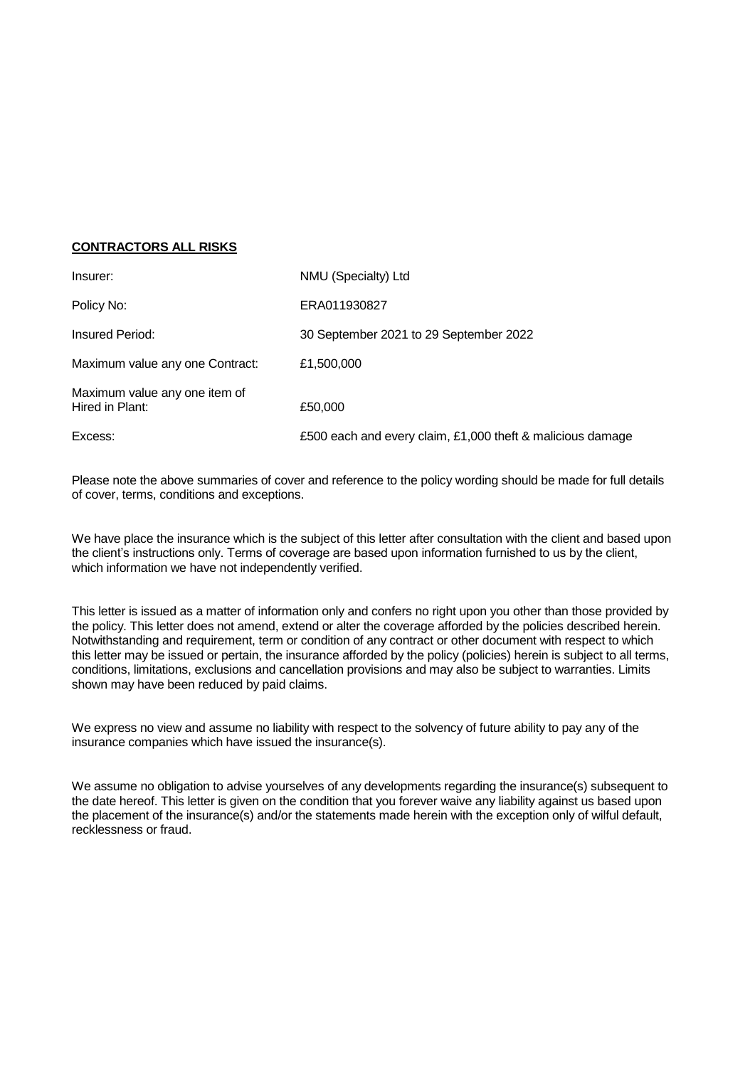# **CONTRACTORS ALL RISKS**

| Insurer:                                         | NMU (Specialty) Ltd                                        |
|--------------------------------------------------|------------------------------------------------------------|
| Policy No:                                       | ERA011930827                                               |
| Insured Period:                                  | 30 September 2021 to 29 September 2022                     |
| Maximum value any one Contract:                  | £1,500,000                                                 |
| Maximum value any one item of<br>Hired in Plant: | £50,000                                                    |
| Excess:                                          | £500 each and every claim, £1,000 theft & malicious damage |

Please note the above summaries of cover and reference to the policy wording should be made for full details of cover, terms, conditions and exceptions.

We have place the insurance which is the subject of this letter after consultation with the client and based upon the client's instructions only. Terms of coverage are based upon information furnished to us by the client, which information we have not independently verified.

This letter is issued as a matter of information only and confers no right upon you other than those provided by the policy. This letter does not amend, extend or alter the coverage afforded by the policies described herein. Notwithstanding and requirement, term or condition of any contract or other document with respect to which this letter may be issued or pertain, the insurance afforded by the policy (policies) herein is subject to all terms, conditions, limitations, exclusions and cancellation provisions and may also be subject to warranties. Limits shown may have been reduced by paid claims.

We express no view and assume no liability with respect to the solvency of future ability to pay any of the insurance companies which have issued the insurance(s).

We assume no obligation to advise yourselves of any developments regarding the insurance(s) subsequent to the date hereof. This letter is given on the condition that you forever waive any liability against us based upon the placement of the insurance(s) and/or the statements made herein with the exception only of wilful default, recklessness or fraud.